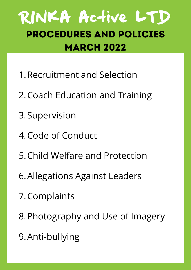### RINKA Active LTD Procedures and Policies **MARCH 2022**

- 1. Recruitment and Selection
- 2. Coach Education and Training
- 3. Supervision
- 4. Code of Conduct
- 5. Child Welfare and Protection
- Allegations Against Leaders 6.
- 7. Complaints
- 8. Photography and Use of Imagery
- Anti-bullying 9.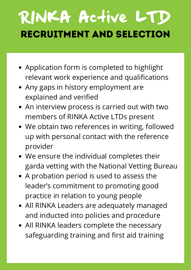# RINKA Active LTD Recruitment and Selection

- Application form is completed to highlight relevant work experience and qualifications
- Any gaps in history employment are explained and verified
- An interview process is carried out with two members of RINKA Active LTDs present
- We obtain two references in writing, followed up with personal contact with the reference provider
- We ensure the individual completes their garda vetting with the National Vetting Bureau
- A probation period is used to assess the leader's commitment to promoting good practice in relation to young people
- All RINKA Leaders are adequately managed and inducted into policies and procedure
- All RINKA leaders complete the necessary safeguarding training and first aid training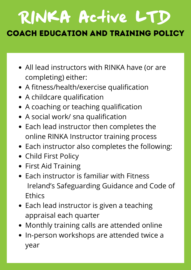## RINKA Active LTD Coach Education and Training Policy

- All lead instructors with RINKA have (or are completing) either:
- A fitness/health/exercise qualification
- A childcare qualification
- A coaching or teaching qualification
- A social work/ sna qualification
- Each lead instructor then completes the online RINKA Instructor training process
- Each instructor also completes the following:
- Child First Policy
- First Aid Training
- Each instructor is familiar with Fitness Ireland's Safeguarding Guidance and Code of **Ethics**
- Each lead instructor is given a teaching appraisal each quarter
- Monthly training calls are attended online
- In-person workshops are attended twice a year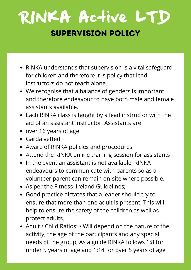## RINKA Active LTD Supervision Policy

- RINKA understands that supervision is a vital safeguard for children and therefore it is policy that lead instructors do not teach alone.
- We recognise that a balance of genders is important and therefore endeavour to have both male and female assistants available.
- Each RINKA class is taught by a lead instructor with the aid of an assistant instructor. Assistants are
- over 16 years of age
- Garda vetted
- Aware of RINKA policies and procedures
- Attend the RINKA online training session for assistants
- In the event an assistant is not available, RINKA endeavours to communicate with parents so as a volunteer parent can remain on-site where possible.
- As per the Fitness Ireland Guidelines;
- Good practice dictates that a leader should try to ensure that more than one adult is present. This will help to ensure the safety of the children as well as protect adults.
- Adult / Child Ratios: Will depend on the nature of the activity, the age of the participants and any special needs of the group, As a guide RINKA follows 1:8 for under 5 years of age and 1:14 for over 5 years of age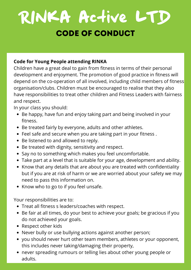## RINKA Active LTD Code of Conduct

### **Code for Young People attending RINKA**

Children have a great deal to gain from fitness in terms of their personal development and enjoyment. The promotion of good practice in fitness will depend on the co-operation of all involved, including child members of fitness organisation/clubs. Children must be encouraged to realise that they also have responsibilities to treat other children and Fitness Leaders with fairness and respect.

In your class you should:

- Be happy, have fun and enjoy taking part and being involved in your fitness.
- Be treated fairly by everyone, adults and other athletes.
- Feel safe and secure when you are taking part in your fitness .
- Be listened to and allowed to reply.
- Be treated with dignity, sensitivity and respect.
- Say no to something which makes you feel uncomfortable.
- Take part at a level that is suitable for your age, development and ability.
- Know that any details that are about you are treated with confidentiality but if you are at risk of harm or we are worried about your safety we may need to pass this information on.
- Know who to go to if you feel unsafe.

Your responsibilities are to:

- Treat all fitness s leaders/coaches with respect.
- Be fair at all times, do your best to achieve your goals; be gracious if you do not achieved your goals.
- Respect other kids
- Never bully or use bullying actions against another person;
- you should never hurt other team members, athletes or your opponent, this includes never taking/damaging their property,
- never spreading rumours or telling lies about other young people or adults.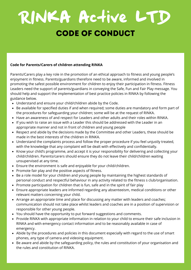## RINKA Active LTD Code of Conduct

#### **Code for Parents/Carers of children attending RINKA**

Parents/Carers play a key role in the promotion of an ethical approach to fitness and young people's enjoyment in fitness. Parents/guardians therefore need to be aware, informed and involved in promoting the safest possible environment for children to enjoy their participation in fitness. Fitness Leaders need the support of parents/guardians in conveying the Safe, Fun and Fair Play message. You should help and support the implementation of best practice policies in RINKA by following the guidance below.

- Understand and ensure your child/children abide by the Code.
- Be available for specified duties if and when required; some duties are mandatory and form part of the procedures for safeguarding your children; some will be at the request of RINKA.
- Have an awareness of and respect for Leaders and other adults and their roles within RINKA.
- If you wish to raise an issue with a Leader this should be addressed with the Leader in an appropriate manner and not in front of children and young people
- Respect and abide by the decisions made by the Committee and other Leaders, these should be made in the best interests of the children in RINKA.
- Understand the complaints process and follow the proper procedure if you feel unjustly treated, with the knowledge that any complaint will be dealt with effectively and confidentially.
- Know your child's programme, and accept it is your responsibility for delivering and collecting your child/children. Parents/carers should ensure they do not leave their child/children waiting unsupervised at any time.
- Ensure the environment is safe and enjoyable for your child/children.
- Promote fair play and the positive aspects of fitness.
- Be a role model for your children and young people by maintaining the highest standards of personal conduct and respectful behaviour in any activity related to the fitness s club/organisation.
- Promote participation for children that is fun, safe and in the spirit of fair play
- Ensure appropriate leaders are informed regarding any absenteeism, medical conditions or other relevant matters concerning your child.
- Arrange an appropriate time and place for discussing any matter with leaders and coaches; communication should not take place whilst leaders and coaches are in a position of supervision or responsible for other young people.
- You should have the opportunity to put forward suggestions and comments.
- Provide RINKA with appropriate information in relation to your child to ensure their safe inclusion in RINKA and with emergency contact information and to be reasonably available in case of emergency.
- Abide by the procedures and policies in this document especially with regard to the use of smart phones, any type of camera and videoing equipment.
- Be aware and abide by the safeguarding policy, the rules and constitution of your organisation and the rules and constitution of RINKA.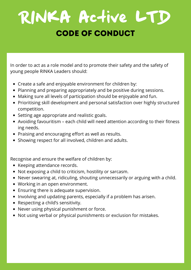## RINKA Active LTD CODE OF CONDUCT

In order to act as a role model and to promote their safety and the safety of young people RINKA Leaders should:

- Create a safe and enjoyable environment for children by:
- Planning and preparing appropriately and be positive during sessions.
- Making sure all levels of participation should be enjoyable and fun.
- Prioritising skill development and personal satisfaction over highly structured competition.
- Setting age appropriate and realistic goals.
- Avoiding favouritism each child will need attention according to their fitness ing needs.
- Praising and encouraging effort as well as results.
- Showing respect for all involved, children and adults.

Recognise and ensure the welfare of children by:

- Keeping attendance records.
- Not exposing a child to criticism, hostility or sarcasm.
- Never swearing at, ridiculing, shouting unnecessarily or arguing with a child.
- Working in an open environment.
- Ensuring there is adequate supervision.
- Involving and updating parents, especially if a problem has arisen.
- Respecting a child's sensitivity.
- Never using physical punishment or force.
- Not using verbal or physical punishments or exclusion for mistakes.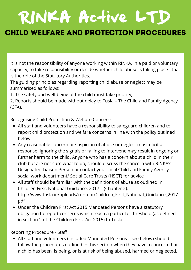### Child Welfare and Protection Procedures

It is not the responsibility of anyone working within RINKA, in a paid or voluntary capacity, to take responsibility or decide whether child abuse is taking place - that is the role of the Statutory Authorities.

The guiding principles regarding reporting child abuse or neglect may be summarised as follows:

1. The safety and well-being of the child must take priority;

2. Reports should be made without delay to Tusla – The Child and Family Agency (CFA).

Recognising Child Protection & Welfare Concerns

- All staff and volunteers have a responsibility to safeguard children and to report child protection and welfare concerns in line with the policy outlined below.
- Any reasonable concern or suspicion of abuse or neglect must elicit a response. Ignoring the signals or failing to intervene may result in ongoing or further harm to the child. Anyone who has a concern about a child in their club but are not sure what to do, should discuss the concern with RINKA's Designated Liaison Person or contact your local Child and Family Agency social work department/ Social Care Trusts (HSCT) for advice
- All staff should be familiar with the definitions of abuse as outlined in Children First, National Guidance, 2017 – (Chapter 2). [http://www.tusla.ie/uploads/content/Children\\_First\\_National\\_Guidance\\_2017.](http://www.tusla.ie/uploads/content/Children_First_National_Guidance_2017.pdf) pdf
- Under the Children First Act 2015 Mandated Persons have a statutory obligation to report concerns which reach a particular threshold (as defined in section 2 of the Children First Act 2015) to Tusla.

Reporting Procedure - Staff

All staff and volunteers (included Mandated Persons – see below) should follow the procedures outlined in this section when they have a concern that a child has been, is being, or is at risk of being abused, harmed or neglected.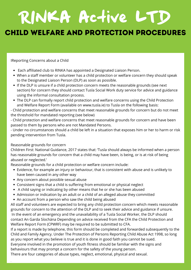### Child Welfare and Protection Procedures

IReporting Concerns about a Child

- Each affiliated club to RINKA has appointed a Designated Liaison Person.
- When a staff member or volunteer has a child protection or welfare concern they should speak to the Designated Liaison Person (DLP) as soon as possible.
- If the DLP is unsure if a child protection concern meets the reasonable grounds (see next section) for concern they should contact Tusla Social Work duty service for advice and guidance using the informal consultation process.
- The DLP can formally report child protection and welfare concerns using the Child Protection and Welfare Report Form (available on www.tusla.ie) to Tusla on the following basis:

- Child protection and welfare concerns that meet reasonable grounds for concern but do not meet the threshold for mandated reporting (see below)

- Child protection and welfare concerns that meet reasonable grounds for concern and have been passed to them by persons who are not Mandated Persons.

- Under no circumstances should a child be left in a situation that exposes him or her to harm or risk pending intervention from Tusla.

#### Reasonable grounds for concern

.

Children First: National Guidance, 2017 states that: 'Tusla should always be informed when a person has reasonable grounds for concern that a child may have been, is being, or is at risk of being abused or neglected.'

Reasonable grounds for a child protection or welfare concern include:

- Evidence, for example an injury or behaviour, that is consistent with abuse and is unlikely to have been caused in any other way
- Any concern about possible sexual abuse
- Consistent signs that a child is suffering from emotional or physical neglect
- A child saying or indicating by other means that he or she has been abused
- Admission or indication by an adult or a child of an alleged abuse they committed
- An account from a person who saw the child being abused

All staff and volunteers are expected to bring any child protection concern which meets reasonable grounds for concern to the attention of the DLP and to seek their advice and guidance if unsure. In the event of an emergency and the unavailability of a Tusla Social Worker, the DLP should contact An Garda Síochána Depending on advice received from the CFA the Child Protection and Welfare Report Form (CPWRF) may be required to be submitted to CFA.

If a report is made by telephone, this form should be completed and forwarded subsequently to the Child and Family Agency. Under The Protection of Persons Reporting Child Abuse Act 1998, so long as you report what you believe is true and it is done in good faith you cannot be sued.

Everyone involved in the promotion of youth fitness should be familiar with the signs and behaviours that may prompt a concern for the safety of the young person.

There are four categories of abuse types, neglect, emotional, physical and sexual.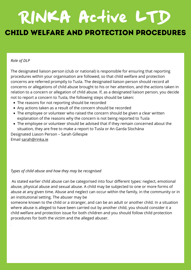### RINKA Active LTD Child Welfare and Protection Procedures

#### *Role of DLP*

The designated liaison person (club or national) is responsible for ensuring that reporting procedures within your organisation are followed, so that child welfare and protection concerns are referred promptly to Tusla. The designated liaison person should record all concerns or allegations of child abuse brought to his or her attention, and the actions taken in relation to a concern or allegation of child abuse. If, as a designated liaison person, you decide not to report a concern to Tusla, the following steps should be taken:

- The reasons for not reporting should be recorded
- Any actions taken as a result of the concern should be recorded
- The employee or volunteer who raised the concern should be given a clear written explanation of the reasons why the concern is not being reported to Tusla
- The employee or volunteer should be advised that if they remain concerned about the situation, they are free to make a report to Tusla or An Garda Síochána Designated Liason Person – Sarah Gillespie

Email [sarah@rinka.ie](mailto:sarah@rinka.ie)

.

#### *Types of child abuse and how they may be recognised*

As stated earlier child abuse can be categorised into four different types: neglect, emotional abuse, physical abuse and sexual abuse. A child may be subjected to one or more forms of abuse at any given time. Abuse and neglect can occur within the family, in the community or in an institutional setting. The abuser may be

someone known to the child or a stranger, and can be an adult or another child. In a situation where abuse is alleged to have been carried out by another child, you should consider it a child welfare and protection issue for both children and you should follow child protection procedures for both the victim and the alleged abuser.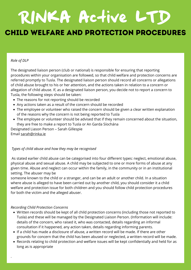### Child Welfare and Protection Procedures

#### *Role of DLP*

The designated liaison person (club or national) is responsible for ensuring that reporting procedures within your organisation are followed, so that child welfare and protection concerns are referred promptly to Tusla. The designated liaison person should record all concerns or allegations of child abuse brought to his or her attention, and the actions taken in relation to a concern or allegation of child abuse. If, as a designated liaison person, you decide not to report a concern to Tusla, the following steps should be taken:

- The reasons for not reporting should be recorded
- Any actions taken as a result of the concern should be recorded
- The employee or volunteer who raised the concern should be given a clear written explanation of the reasons why the concern is not being reported to Tusla
- The employee or volunteer should be advised that if they remain concerned about the situation, they are free to make a report to Tusla or An Garda Síochána

Designated Liason Person – Sarah Gillespie Email [sarah@rinka.ie](mailto:sarah@rinka.ie)

#### *Types of child abuse and how they may be recognised*

As stated earlier child abuse can be categorised into four different types: neglect, emotional abuse, physical abuse and sexual abuse. A child may be subjected to one or more forms of abuse at any given time. Abuse and neglect can occur within the family, in the community or in an institutional setting. The abuser may be

someone known to the child or a stranger, and can be an adult or another child. In a situation where abuse is alleged to have been carried out by another child, you should consider it a child welfare and protection issue for both children and you should follow child protection procedures for both the victim and the alleged abuser.

#### *Recording Child Protection Concerns*

- Written records should be kept of all child protection concerns (including those not reported to Tusla) and these will be managed by the Designated Liaison Person. (Information will include: details of the concern, who raised it, who was contacted, details regarding an informal consultation if it happened, any action taken, details regarding informing parents.
- If a child has made a disclosure of abuse, a written record will be made. If there are other grounds for concern that the child has been abused or neglected, a written record will be made.
- Records relating to child protection and welfare issues will be kept confidentially and held for as long as is appropriate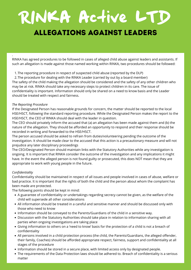### RINKA Active LTD Allegations Against Leaders

.RINKA has agreed procedures to be followed in cases of alleged child abuse against leaders and assistants. If such an allegation is made against those named working within RINKA, two procedures should be followed:

- 1.The reporting procedure in respect of suspected child abuse (reported by the DLP)
- 2.The procedure for dealing with the RINKA Leader (carried by out by a board member)

The safety of the child making the allegation should be considered and the safety of any other children who may be at risk. RINKA should take any necessary steps to protect children in its care. The issue of confidentiality is important. Information should only be shared on a need to know basis and the Leader should be treated with respect and fairness.

#### *The Reporting Procedure*

If the Designated Person has reasonable grounds for concern, the matter should be reported to the local HSE/HSCT, following the standard reporting procedure. While the Designated Person makes the report to the HSE/HSCT, the CEO of RINKA should deal with the leader in question.

The CEO should privately inform the accused that (a) an allegation has been made against them and (b) the nature of the allegation. They should be afforded an opportunity to respond and their response should be recorded in writing and forwarded to the HSE/HSCT.

The person accused should be asked to refrain from duties/volunteering pending the outcome of the investigation. It should be made clear to the accused that this action is a precautionary measure and will not prejudice any later disciplinary proceedings

The CEO/Designated Person should maintain links with the Statutory Authorities while any investigation is ongoing. It is important that RINKA consider the outcome of the investigation and any implications it might have. In the event the alleged person is not found guilty or prosecuted, this does NOT mean that they are appropriate to work with young people in the future.

#### *Confidentiality*

Confidentiality should be maintained in respect of all issues and people involved in cases of abuse, welfare or bad practice. It is important that the rights of both the child and the person about whom the complaint has been made are protected.

The following points should be kept in mind:

- A guarantee of confidentiality or undertakings regarding secrecy cannot be given, as the welfare of the child will supersede all other considerations
- All information should be treated in a careful and sensitive manner and should be discussed only with those who need to know
- Information should be conveyed to the Parents/Guardians of the child in a sensitive way.
- Discussion with the Statutory Authorities should take place in relation to information sharing with all parties when ongoing investigations are taking place
- Giving information to others on a 'need to know' basis for the protection of a child is not a breach of confidentiality
- All persons involved in a child protection process (the child, the Parents/Guardians, the alleged offender, their family, Coaches) should be afforded appropriate respect, fairness, support and confidentiality at all stages of the procedure
- Information should be stored in a secure place, with limited access only by designated people.
- The requirements of the Data Protection laws should be adhered to. Breach of confidentiality is a serious matter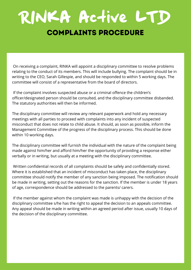### RINKA Active LTD Complaints Procedure

On receiving a complaint, RINKA will appoint a disciplinary committee to resolve problems relating to the conduct of its members. This will include bullying. The complaint should be in writing to the CEO, Sarah Gillespie, and should be responded to within 5 working days. The committee will consist of a representative from the board of directors.

If the complaint involves suspected abuse or a criminal offence the children's officer/designated person should be consulted, and the disciplinary committee disbanded. The statutory authorities will then be informed.

The disciplinary committee will review any relevant paperwork and hold any necessary meetings with all parties to proceed with complaints into any incident of suspected misconduct that does not relate to child abuse. It should, as soon as possible, inform the Management Committee of the progress of the disciplinary process. This should be done within 10 working days.

The disciplinary committee will furnish the individual with the nature of the complaint being made against him/her and afford him/her the opportunity of providing a response either verbally or in writing, but usually at a meeting with the disciplinary committee.

Written confidential records of all complaints should be safely and confidentially stored. Where it is established that an incident of misconduct has taken place, the disciplinary committee should notify the member of any sanction being imposed. The notification should be made in writing, setting out the reasons for the sanction. If the member is under 18 years of age, correspondence should be addressed to the parents/ carers.

If the member against whom the complaint was made is unhappy with the decision of the disciplinary committee s/he has the right to appeal the decision to an appeals committee. Any appeal should be made in writing within an agreed period after issue, usually 10 days of the decision of the disciplinary committee.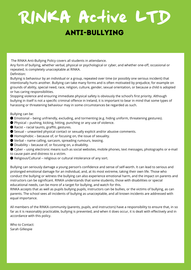### Anti-Bullying

The RINKA Anti-Bullying Policy covers all students in attendance.

Any form of bullying, whether verbal, physical or psychological or cyber, and whether one-off, occasional or repeated, is completely unacceptable at RINKA.

Definition:

Bullying is behaviour by an individual or a group, repeated over time (or possibly one serious incident) that intentionally hurts another. Bullying can take many forms and is often motivated by prejudice, for example on grounds of ability, special need, race, religion, culture, gender, sexual orientation, or because a child is adopted or has caring responsibilities.

Stopping violence and ensuring immediate physical safety is obviously the school's first priority. Although bullying in itself is not a specific criminal offence in Ireland, it is important to bear in mind that some types of harassing or threatening behaviour may in some circumstances be regarded as such.

Bullying can be:

- $\bullet$  Emotional being unfriendly, excluding, and tormenting (e.g. hiding uniform, threatening gestures).
- Physical pushing, kicking, hitting, punching or any use of violence.
- Racist racial taunts, graffiti, gestures.
- Sexual unwanted physical contact or sexually explicit and/or abusive comments.
- $\bullet$  Homophobic because of, or focusing on, the issue of sexuality.
- Verbal name calling, sarcasm, spreading rumours, teasing.
- Disability because of, or focusing on, a disability.
- Cyber using electronic means such as social websites, mobile phones, text messages, photographs or e-mail to cause pain and distress to a victim.
- Religious/Cultural religious or cultural intolerance of any sort.

Bullying can seriously damage a young person's confidence and sense of self-worth. It can lead to serious and prolonged emotional damage for an individual, and, at its most extreme, taking their own life. Those who conduct the bullying or witness the bullying can also experience emotional harm, and the impact on parents and instructors can be significant. RINKA understands that some students, those with disabilities or special educational needs, can be more of a target for bullying, and watch for this.

RINKA accepts that as well as pupils bullying pupils, instructors can be bullies, or the victims of bullying, as can parents. The school sees all incidents of bullying as unacceptable, and all known incidents are addressed with equal importance.

All members of the RINKA community (parents, pupils, and instructors) have a responsibility to ensure that, in so far as it is reasonably practicable, bullying is prevented, and when it does occur, it is dealt with effectively and in accordance with this policy.

Who to Contact: Sarah Gillespie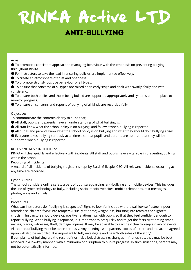### Anti-Bullying

#### Aims:

● To promote a consistent approach to managing behaviour with the emphasis on preventing bullying throughout RINKA

- For instructors to take the lead in ensuring policies are implemented effectively.
- To create an atmosphere of trust and openness.
- To promote strongly positive behaviour of all types.

● To ensure that concerns of all types are raised at an early stage and dealt with swiftly, fairly and with consistency.

● To ensure both bullies and those being bullied are supported appropriately and systems put into place to monitor progress.

● To ensure all concerns and reports of bullying of all kinds are recorded fully.

#### Objectives:

To communicate the contents clearly to all so that;

- All staff, pupils and parents have an understanding of what bullying is.
- All staff know what the school policy is on bullying, and follow it when bullying is reported.
- All pupils and parents know what the school policy is on bullying and what they should do if bullying arises.

● Everyone takes bullying seriously at all times, so that pupils and parents are assured that they will be supported when bullying is reported.

#### ROLES AND RESPONSIBILITIES:

RINKA will deal quickly and effectively with incidents. All staff and pupils have a vital role in preventing bullying within the school.

Recording of incidents

A record of all incidents of bullying (register) is kept by Sarah Gillespie, CEO. All relevant incidents occurring at any time are recorded.

#### Cyber Bullying

The school considers online safety a part of both safeguarding, anti-bullying and mobile devices. This includes the use of cyber technology to bully, including social media, websites, mobile telephones, text messages, photographs and emails

#### Procedures

.

What can Instructors do if bullying is suspected? Signs to look for include withdrawal, low self-esteem, poor attendance, children flying into tempers (usually at home) weight loss, bursting into tears at the slightest criticism. Instructors should develop positive relationships with pupils so that they feel confident enough to report bullying. When bullying is reported, it is important to act quickly and to get the facts right noting times, names, places, witnesses, theft, damage, injuries. It may be advisable to ask the victim to keep a diary of events. All reports of bullying must be taken seriously. Any meetings with parents, copies of letters and the action agreed upon will also be recorded. It is important to fully investigate and hear 'both sides of the story'. If complaints of bullying are the result of normal, albeit distressing, changes in friendships, they may be best resolved in a low-key manner, with a minimum of disruption to pupil's progress. In such situations, parents may not be automatically informed.